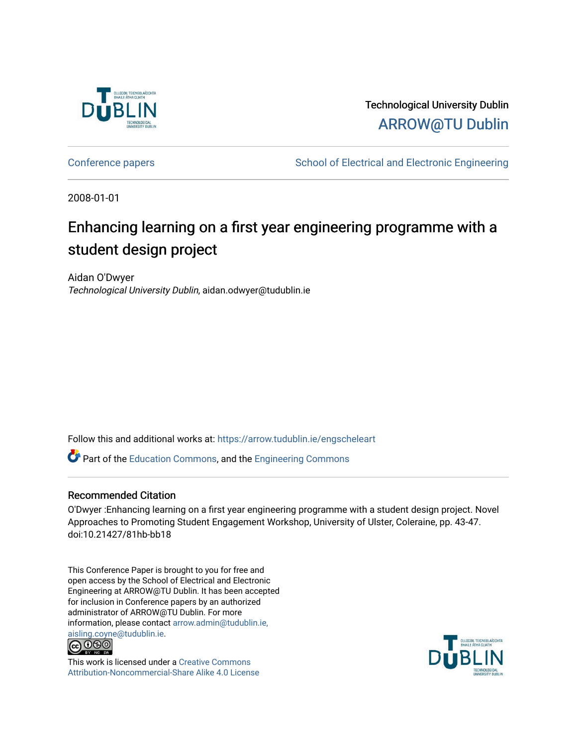

Technological University Dublin [ARROW@TU Dublin](https://arrow.tudublin.ie/) 

[Conference papers](https://arrow.tudublin.ie/engscheleart) **School of Electrical and Electronic Engineering** 

2008-01-01

# Enhancing learning on a first year engineering programme with a student design project

Aidan O'Dwyer Technological University Dublin, aidan.odwyer@tudublin.ie

Follow this and additional works at: [https://arrow.tudublin.ie/engscheleart](https://arrow.tudublin.ie/engscheleart?utm_source=arrow.tudublin.ie%2Fengscheleart%2F75&utm_medium=PDF&utm_campaign=PDFCoverPages) 

Part of the [Education Commons](http://network.bepress.com/hgg/discipline/784?utm_source=arrow.tudublin.ie%2Fengscheleart%2F75&utm_medium=PDF&utm_campaign=PDFCoverPages), and the [Engineering Commons](http://network.bepress.com/hgg/discipline/217?utm_source=arrow.tudublin.ie%2Fengscheleart%2F75&utm_medium=PDF&utm_campaign=PDFCoverPages)

# Recommended Citation

O'Dwyer :Enhancing learning on a first year engineering programme with a student design project. Novel Approaches to Promoting Student Engagement Workshop, University of Ulster, Coleraine, pp. 43-47. doi:10.21427/81hb-bb18

This Conference Paper is brought to you for free and open access by the School of Electrical and Electronic Engineering at ARROW@TU Dublin. It has been accepted for inclusion in Conference papers by an authorized administrator of ARROW@TU Dublin. For more information, please contact [arrow.admin@tudublin.ie,](mailto:arrow.admin@tudublin.ie,%20aisling.coyne@tudublin.ie)  [aisling.coyne@tudublin.ie.](mailto:arrow.admin@tudublin.ie,%20aisling.coyne@tudublin.ie)<br>© 090



This work is licensed under a [Creative Commons](http://creativecommons.org/licenses/by-nc-sa/4.0/) [Attribution-Noncommercial-Share Alike 4.0 License](http://creativecommons.org/licenses/by-nc-sa/4.0/)

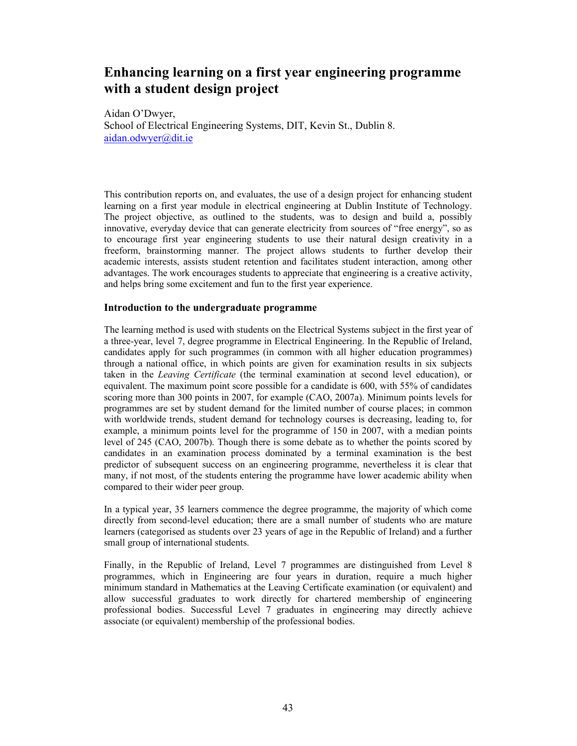# **Enhancing learning on a first year engineering programme with a student design project**

Aidan O'Dwyer, School of Electrical Engineering Systems, DIT, Kevin St., Dublin 8. aidan.odwyer@dit.ie

This contribution reports on, and evaluates, the use of a design project for enhancing student learning on a first year module in electrical engineering at Dublin Institute of Technology. The project objective, as outlined to the students, was to design and build a, possibly innovative, everyday device that can generate electricity from sources of "free energy", so as to encourage first year engineering students to use their natural design creativity in a freeform, brainstorming manner. The project allows students to further develop their academic interests, assists student retention and facilitates student interaction, among other advantages. The work encourages students to appreciate that engineering is a creative activity, and helps bring some excitement and fun to the first year experience.

#### **Introduction to the undergraduate programme**

The learning method is used with students on the Electrical Systems subject in the first year of a three-year, level 7, degree programme in Electrical Engineering. In the Republic of Ireland, candidates apply for such programmes (in common with all higher education programmes) through a national office, in which points are given for examination results in six subjects taken in the *Leaving Certificate* (the terminal examination at second level education), or equivalent. The maximum point score possible for a candidate is 600, with 55% of candidates scoring more than 300 points in 2007, for example (CAO, 2007a). Minimum points levels for programmes are set by student demand for the limited number of course places; in common with worldwide trends, student demand for technology courses is decreasing, leading to, for example, a minimum points level for the programme of 150 in 2007, with a median points level of 245 (CAO, 2007b). Though there is some debate as to whether the points scored by candidates in an examination process dominated by a terminal examination is the best predictor of subsequent success on an engineering programme, nevertheless it is clear that many, if not most, of the students entering the programme have lower academic ability when compared to their wider peer group.

In a typical year, 35 learners commence the degree programme, the majority of which come directly from second-level education; there are a small number of students who are mature learners (categorised as students over 23 years of age in the Republic of Ireland) and a further small group of international students.

Finally, in the Republic of Ireland, Level 7 programmes are distinguished from Level 8 programmes, which in Engineering are four years in duration, require a much higher minimum standard in Mathematics at the Leaving Certificate examination (or equivalent) and allow successful graduates to work directly for chartered membership of engineering professional bodies. Successful Level 7 graduates in engineering may directly achieve associate (or equivalent) membership of the professional bodies.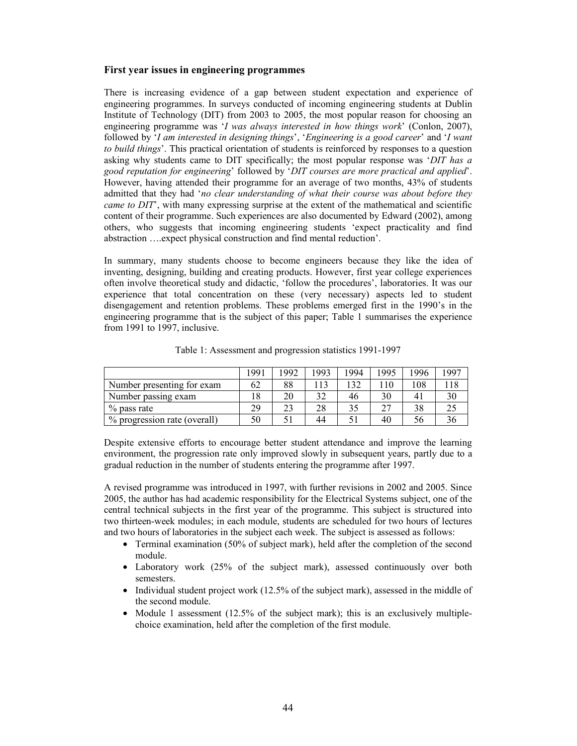#### **First year issues in engineering programmes**

There is increasing evidence of a gap between student expectation and experience of engineering programmes. In surveys conducted of incoming engineering students at Dublin Institute of Technology (DIT) from 2003 to 2005, the most popular reason for choosing an engineering programme was '*I was always interested in how things work*' (Conlon, 2007), followed by '*I am interested in designing things*', '*Engineering is a good career*' and '*I want to build things*'. This practical orientation of students is reinforced by responses to a question asking why students came to DIT specifically; the most popular response was '*DIT has a good reputation for engineering*' followed by '*DIT courses are more practical and applied*'. However, having attended their programme for an average of two months, 43% of students admitted that they had '*no clear understanding of what their course was about before they came to DIT*<sup>'</sup>, with many expressing surprise at the extent of the mathematical and scientific content of their programme. Such experiences are also documented by Edward (2002), among others, who suggests that incoming engineering students 'expect practicality and find abstraction ….expect physical construction and find mental reduction'.

In summary, many students choose to become engineers because they like the idea of inventing, designing, building and creating products. However, first year college experiences often involve theoretical study and didactic, 'follow the procedures', laboratories. It was our experience that total concentration on these (very necessary) aspects led to student disengagement and retention problems. These problems emerged first in the 1990's in the engineering programme that is the subject of this paper; Table 1 summarises the experience from 1991 to 1997, inclusive.

|                              | 1991 | '992 | 1993 | 1994 | -995            | 1996           | 1997 |
|------------------------------|------|------|------|------|-----------------|----------------|------|
| Number presenting for exam   | 62   | 88   |      | 32   | $\overline{10}$ | 08             |      |
| Number passing exam          |      | 20   | 32   | 46   | 30              | $\overline{4}$ | 30   |
| $%$ pass rate                | 29   | 23   | 28   |      | າາ              | 38             |      |
| % progression rate (overall) | 50   |      | 44   |      | 40              | ჂႩ             | 30.  |

Table 1: Assessment and progression statistics 1991-1997

Despite extensive efforts to encourage better student attendance and improve the learning environment, the progression rate only improved slowly in subsequent years, partly due to a gradual reduction in the number of students entering the programme after 1997.

A revised programme was introduced in 1997, with further revisions in 2002 and 2005. Since 2005, the author has had academic responsibility for the Electrical Systems subject, one of the central technical subjects in the first year of the programme. This subject is structured into two thirteen-week modules; in each module, students are scheduled for two hours of lectures and two hours of laboratories in the subject each week. The subject is assessed as follows:

- Terminal examination (50% of subject mark), held after the completion of the second module.
- Laboratory work (25% of the subject mark), assessed continuously over both semesters.
- Individual student project work (12.5% of the subject mark), assessed in the middle of the second module.
- Module 1 assessment (12.5% of the subject mark); this is an exclusively multiplechoice examination, held after the completion of the first module.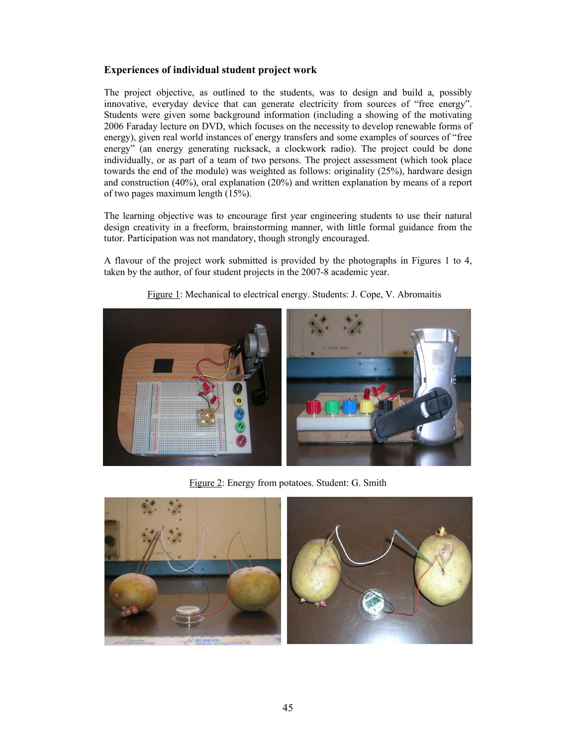# **Experiences of individual student project work**

The project objective, as outlined to the students, was to design and build a, possibly innovative, everyday device that can generate electricity from sources of "free energy". Students were given some background information (including a showing of the motivating 2006 Faraday lecture on DVD, which focuses on the necessity to develop renewable forms of energy), given real world instances of energy transfers and some examples of sources of "free energy" (an energy generating rucksack, a clockwork radio). The project could be done individually, or as part of a team of two persons. The project assessment (which took place towards the end of the module) was weighted as follows: originality (25%), hardware design and construction (40%), oral explanation (20%) and written explanation by means of a report of two pages maximum length (15%).

The learning objective was to encourage first year engineering students to use their natural design creativity in a freeform, brainstorming manner, with little formal guidance from the tutor. Participation was not mandatory, though strongly encouraged.

A flavour of the project work submitted is provided by the photographs in Figures 1 to 4, taken by the author, of four student projects in the 2007-8 academic year.



Figure 1: Mechanical to electrical energy. Students: J. Cope, V. Abromaitis

Figure 2: Energy from potatoes. Student: G. Smith

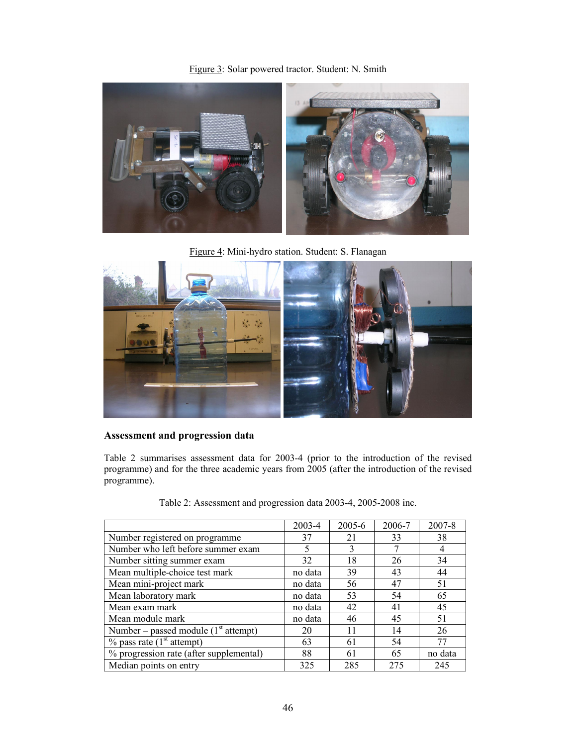Figure 3: Solar powered tractor. Student: N. Smith



Figure 4: Mini-hydro station. Student: S. Flanagan



# **Assessment and progression data**

Table 2 summarises assessment data for 2003-4 (prior to the introduction of the revised programme) and for the three academic years from 2005 (after the introduction of the revised programme).

|  |  | Table 2: Assessment and progression data 2003-4, 2005-2008 inc. |
|--|--|-----------------------------------------------------------------|
|  |  |                                                                 |

|                                          | 2003-4  | 2005-6 | 2006-7 | 2007-8         |
|------------------------------------------|---------|--------|--------|----------------|
| Number registered on programme           | 37      | 21     | 33     | 38             |
| Number who left before summer exam       | 5       |        |        | $\overline{4}$ |
| Number sitting summer exam               | 32      | 18     | 26     | 34             |
| Mean multiple-choice test mark           | no data | 39     | 43     | 44             |
| Mean mini-project mark                   | no data | 56     | 47     | 51             |
| Mean laboratory mark                     | no data | 53     | 54     | 65             |
| Mean exam mark                           | no data | 42     | 41     | 45             |
| Mean module mark                         | no data | 46     | 45     | 51             |
| Number – passed module $(1st attempt)$   | 20      | 11     | 14     | 26             |
| $\%$ pass rate (1 <sup>st</sup> attempt) | 63      | 61     | 54     | 77             |
| % progression rate (after supplemental)  | 88      | 61     | 65     | no data        |
| Median points on entry                   | 325     | 285    | 275    | 245            |